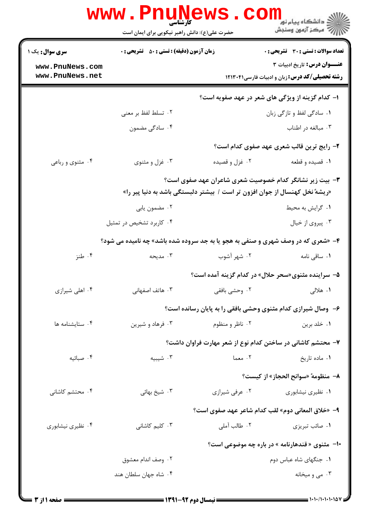|                                    | <b>www.PnuNews</b><br>کارشناسی                                                           |                                                                             | ≦ دانشگاه پیام نو <mark>ر</mark><br>رِ آھرڪز آزمون وسنڊش                                     |  |
|------------------------------------|------------------------------------------------------------------------------------------|-----------------------------------------------------------------------------|----------------------------------------------------------------------------------------------|--|
|                                    | حضرت علی(ع): دانش راهبر نیکویی برای ایمان است                                            |                                                                             |                                                                                              |  |
| <b>سری سوال :</b> یک ۱             | <b>زمان آزمون (دقیقه) : تستی : 50 ٪ تشریحی : 0</b>                                       |                                                                             | <b>تعداد سوالات : تستي : 30 ٪ تشريحي : 0</b>                                                 |  |
| www.PnuNews.com<br>www.PnuNews.net |                                                                                          |                                                                             | <b>عنـــوان درس:</b> تاریخ ادبیات ۳<br><b>رشته تحصیلی/کد درس: زبان و ادبیات فارسی1۲۱۳۰۴۱</b> |  |
|                                    |                                                                                          |                                                                             |                                                                                              |  |
|                                    |                                                                                          |                                                                             | ا– کدام گزینه از ویژگی های شعر در عهد صفویه است؟                                             |  |
|                                    | ٠٢ تسلط لفظ بر معنى                                                                      |                                                                             | ۰۱ سادگی لفظ و تازگی زبان                                                                    |  |
|                                    | ۰۴ سادگی مضمون                                                                           |                                                                             | ۰۳ مبالغه در اطناب                                                                           |  |
|                                    |                                                                                          |                                                                             | ۲- رایج ترین قالب شعری عهد صفوی کدام است؟                                                    |  |
| ۰۴ مثنوی و رباعی                   | ۰۳ غزل و مثنوی                                                                           | ۰۲ غزل و قصیده                                                              | ۰۱ قصیده و قطعه                                                                              |  |
|                                    |                                                                                          |                                                                             | ۳- بیت زیر نشانگر کدام خصوصیت شعری شاعران عهد صفوی است؟                                      |  |
|                                    |                                                                                          | «ریشهٔ نخل کهنسال از جوان افزون تر است / بیشتر دلبستگی باشد به دنیا پیر را» |                                                                                              |  |
|                                    | ۰۲ مضمون يابي                                                                            |                                                                             | ٠١ گرايش به محيط                                                                             |  |
|                                    | ۰۴ کاربرد تشخیص در تمثیل                                                                 |                                                                             | ۰۳ پیروی از خیال                                                                             |  |
|                                    | <b>۴</b> - «شعری که در وصف شهری و صنفی به هجو یا به جد سروده شده باشد» چه نامیده می شود؟ |                                                                             |                                                                                              |  |
| ۰۴ طنز                             | ۰۳ مدیحه                                                                                 | ۰۲ شهر آشوب                                                                 | ۰۱ ساقی نامه                                                                                 |  |
|                                    |                                                                                          |                                                                             | ۵– سراینده مثنوی«سحر حلال» در کدام گزینه آمده است؟                                           |  |
| ۰۴ اهلی شیرازی                     | ۰۳ هاتف اصفهانی                                                                          | ۰۲ وحشی بافقی                                                               | ۰۱ هلالی                                                                                     |  |
|                                    |                                                                                          |                                                                             | ۶- وصال شیرازی کدام مثنوی وحشی بافقی را به پایان رسانده است؟                                 |  |
| ۰۴ ستايشنامه ها                    | ۰۳ فرهاد و شیرین                                                                         | ۰۲ ناظر و منظوم                                                             | ٠١ خلد برين                                                                                  |  |
|                                    |                                                                                          |                                                                             | ۷– محتشم کاشانی در ساختن کدام نوع از شعر مهارت فراوان داشت؟                                  |  |
| ۰۴ صبائيه                          | ۰۳ شیبیه                                                                                 | ۰۲ معما                                                                     | ۰۱ ماده تاريخ                                                                                |  |
|                                    |                                                                                          |                                                                             | ٨- منظومه ً«سوانح الحجاز» از كيست؟                                                           |  |
| ۰۴ محتشم کاشانی                    | ۰۳ شیخ بهائی                                                                             | ۰۲ عرفي شيرازي                                                              | ۰۱ نظیری نیشابوری                                                                            |  |
|                                    |                                                                                          |                                                                             | ۹- «خلاق المعاني دوم» لقب كدام شاعر عهد صفوى است؟                                            |  |
| ۰۴ نظیری نیشابوری                  | ۰۳ کلیم کاشانی                                                                           | ۰۲ طالب آملی                                                                | ۰۱ صائب تبریزی                                                                               |  |
|                                    | ∙ا− مثنوی « قندهارنامه » در باره چه موضوعی است؟                                          |                                                                             |                                                                                              |  |
|                                    | ۰۲ وصف اندام معشوق                                                                       |                                                                             | ۰۱ جنگهای شاه عباس دوم                                                                       |  |
|                                    | ۰۴ شاه جهان سلطان هند                                                                    |                                                                             | ۰۳ می و میخانه                                                                               |  |
|                                    |                                                                                          |                                                                             |                                                                                              |  |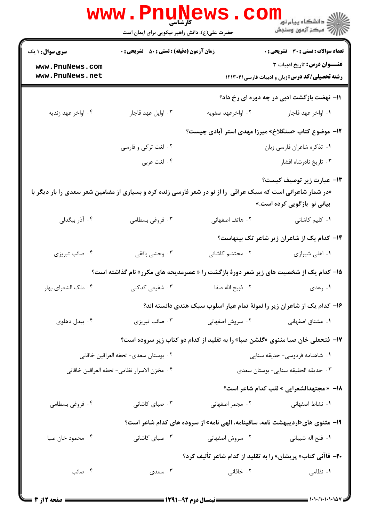|                                                                                                               | <b>www.PnuN</b><br>کا، شناسی<br>حضرت علی(ع): دانش راهبر نیکویی برای ایمان است | <b>AWS</b>                                                                                    | ڪ دانشڪاه پيا <sub>م</sub> نور<br><mark>√</mark> مرڪز آزمون وسنڊش                      |  |
|---------------------------------------------------------------------------------------------------------------|-------------------------------------------------------------------------------|-----------------------------------------------------------------------------------------------|----------------------------------------------------------------------------------------|--|
| <b>سری سوال : ۱ یک</b>                                                                                        | <b>زمان آزمون (دقیقه) : تستی : 50 ٪ تشریحی : 0</b>                            |                                                                                               | <b>تعداد سوالات : تستی : 30 ٪ تشریحی : 0</b>                                           |  |
| www.PnuNews.com<br>www.PnuNews.net                                                                            |                                                                               |                                                                                               | عنـــوان درس: تاريخ ادبيات ٣<br><b>رشته تحصیلی/کد درس: زبان و ادبیات فارسی313311 ا</b> |  |
|                                                                                                               |                                                                               |                                                                                               | 11- نهضت بازگشت ادبی در چه دوره ای رخ داد؟                                             |  |
| ۰۴ اواخر عهد زنديه                                                                                            | ۰۳ اوایل عهد قاجار                                                            | ۰۲ اواخرعهد صفويه                                                                             | ٠١. اواخر عهد قاجار                                                                    |  |
|                                                                                                               |                                                                               | ۱۲- موضوع کتاب «سنگلاخ» میرزا مهدی استر آبادی چیست؟                                           |                                                                                        |  |
|                                                                                                               | ۰۲ لغت ترکی و فارسی                                                           |                                                                                               | ۰۱ تذکره شاعران فارسی زبان                                                             |  |
|                                                                                                               | ۰۴ لغت عربي                                                                   |                                                                                               | ۰۳ تاریخ نادرشاه افشار                                                                 |  |
| «در شمار شاعرانی است که سبک عراقی ً را از نو در شعر فارسی زنده کرد و بسیاری از مضامین شعر سعدی را بار دیگر با |                                                                               |                                                                                               | <b>۱۳</b> عبارت زیر توصیف کیست؟<br>بیانی نو بازگویی کرده است.»                         |  |
| ۰۴ آذر بیگدلی                                                                                                 | ۰۳ فروغی بسطامی                                                               | ۰۲ هاتف اصفهانی                                                                               | ۰۱ کلیم کاشانی                                                                         |  |
|                                                                                                               |                                                                               |                                                                                               | ۱۴– کدام یک از شاعران زیر شاعر تک بیتهاست؟                                             |  |
| ۰۴ صائب تبريزي                                                                                                | ۰۳ وحشي بافقي                                                                 | ۰۲ محتشم کاشانی                                                                               | ۰۱ اهلی شیرازی                                                                         |  |
|                                                                                                               |                                                                               | <b>۱۵</b> – کدام یک از شخصیت های زیر شعر دورهٔ بازگشت را « عصرمدیحه های مکرر» نام گذاشته است؟ |                                                                                        |  |
| ۰۴ ملک الشعرای بهار                                                                                           | ۰۳ شفیعی کدکنی                                                                | ٠٢ ذبيح الله صفا                                                                              | ۰۱ رعدی                                                                                |  |
|                                                                                                               | ۱۶– کدام یک از شاعران زیر را نمونهٔ تمام عیار اسلوب سبک هندی دانسته اند؟      |                                                                                               |                                                                                        |  |
| ۰۴ بیدل دهلوی                                                                                                 | ۰۳ صائب تبریزی                                                                | ۰۲ سروش اصفهانی                                                                               | ۰۱ مشتاق اصفهانی                                                                       |  |
|                                                                                                               |                                                                               | <b>۱۷</b> - فتحعلی خان صبا مثنوی «گلشن صبا» را به تقلید از کدام دو کتاب زیر سروده است؟        |                                                                                        |  |
| ٠٢ بوستان سعدى- تحفه العراقين خاقاني                                                                          |                                                                               | ۰۱ شاهنامه فردوسی- حدیقه سنایی                                                                |                                                                                        |  |
| ۰۴ مخزن الاسرار نظامي- تحفه العراقين خاقاني                                                                   |                                                                               |                                                                                               | ٠٣ حديقه الحقيقه سنايي- بوستان سعدى                                                    |  |
|                                                                                                               |                                                                               |                                                                                               | 18- « مجتهدالشعرايي » لقب كدام شاعر است؟                                               |  |
| ۰۴ فروغی بسطامی                                                                                               | ۰۳ صبای کاشانی                                                                | ۰۲ مجمر اصفهانی                                                                               | ۰۱ نشاط اصفهانی                                                                        |  |
|                                                                                                               |                                                                               | ۱۹- مثنوی های«اردیبهشت نامه، ساقینامه، الهی نامه» از سروده های کدام شاعر است؟                 |                                                                                        |  |
| ۰۴ محمود خان صبا                                                                                              | ۰۳ صبای کاشانی                                                                | ۰۲ سروش اصفهانی                                                                               | <b>۱</b> .  فتح اله شيباني                                                             |  |
|                                                                                                               | <b>۲۰</b> – قاآنی کتاب« پریشان» را به تقلید از کدام شاعر تألیف کرد؟           |                                                                                               |                                                                                        |  |
| ۰۴ صائب                                                                                                       | ۰۳ سعدی                                                                       | ۲. خاقانی                                                                                     | ۰۱ نظامی                                                                               |  |
|                                                                                                               |                                                                               |                                                                                               |                                                                                        |  |